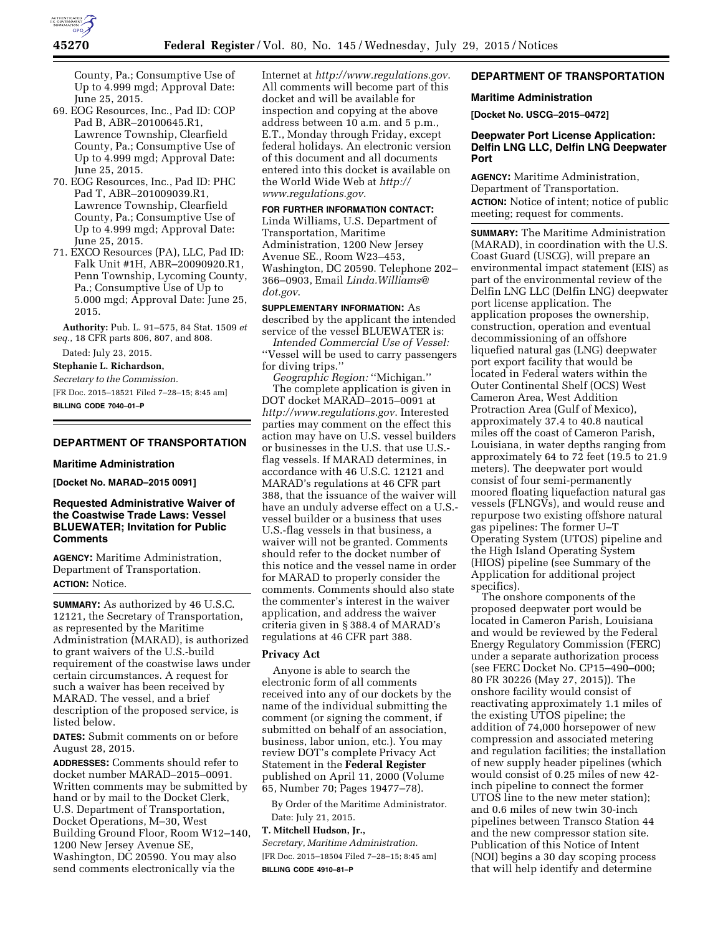

County, Pa.; Consumptive Use of Up to 4.999 mgd; Approval Date: June 25, 2015.

- 69. EOG Resources, Inc., Pad ID: COP Pad B, ABR–20100645.R1, Lawrence Township, Clearfield County, Pa.; Consumptive Use of Up to 4.999 mgd; Approval Date: June 25, 2015.
- 70. EOG Resources, Inc., Pad ID: PHC Pad T, ABR–201009039.R1, Lawrence Township, Clearfield County, Pa.; Consumptive Use of Up to 4.999 mgd; Approval Date: June 25, 2015.
- 71. EXCO Resources (PA), LLC, Pad ID: Falk Unit #1H, ABR–20090920.R1, Penn Township, Lycoming County, Pa.; Consumptive Use of Up to 5.000 mgd; Approval Date: June 25, 2015.

**Authority:** Pub. L. 91–575, 84 Stat. 1509 *et seq.,* 18 CFR parts 806, 807, and 808.

Dated: July 23, 2015.

**Stephanie L. Richardson,** 

*Secretary to the Commission.* 

[FR Doc. 2015–18521 Filed 7–28–15; 8:45 am] **BILLING CODE 7040–01–P** 

# **DEPARTMENT OF TRANSPORTATION**

#### **Maritime Administration**

**[Docket No. MARAD–2015 0091]** 

## **Requested Administrative Waiver of the Coastwise Trade Laws: Vessel BLUEWATER; Invitation for Public Comments**

**AGENCY:** Maritime Administration, Department of Transportation. **ACTION:** Notice.

**SUMMARY:** As authorized by 46 U.S.C. 12121, the Secretary of Transportation, as represented by the Maritime Administration (MARAD), is authorized to grant waivers of the U.S.-build requirement of the coastwise laws under certain circumstances. A request for such a waiver has been received by MARAD. The vessel, and a brief description of the proposed service, is listed below.

**DATES:** Submit comments on or before August 28, 2015.

**ADDRESSES:** Comments should refer to docket number MARAD–2015–0091. Written comments may be submitted by hand or by mail to the Docket Clerk, U.S. Department of Transportation, Docket Operations, M–30, West Building Ground Floor, Room W12–140, 1200 New Jersey Avenue SE, Washington, DC 20590. You may also send comments electronically via the

Internet at *<http://www.regulations.gov>*. All comments will become part of this docket and will be available for inspection and copying at the above address between 10 a.m. and 5 p.m., E.T., Monday through Friday, except federal holidays. An electronic version of this document and all documents entered into this docket is available on the World Wide Web at *[http://](http://www.regulations.gov) [www.regulations.gov](http://www.regulations.gov)*.

#### **FOR FURTHER INFORMATION CONTACT:**

Linda Williams, U.S. Department of Transportation, Maritime Administration, 1200 New Jersey Avenue SE., Room W23–453, Washington, DC 20590. Telephone 202– 366–0903, Email *[Linda.Williams@](mailto:Linda.Williams@dot.gov) [dot.gov](mailto:Linda.Williams@dot.gov)*.

**SUPPLEMENTARY INFORMATION:** As described by the applicant the intended service of the vessel BLUEWATER is:

*Intended Commercial Use of Vessel:*  ''Vessel will be used to carry passengers for diving trips.''

*Geographic Region:* ''Michigan.'' The complete application is given in DOT docket MARAD–2015–0091 at *<http://www.regulations.gov>*. Interested parties may comment on the effect this action may have on U.S. vessel builders or businesses in the U.S. that use U.S. flag vessels. If MARAD determines, in accordance with 46 U.S.C. 12121 and MARAD's regulations at 46 CFR part 388, that the issuance of the waiver will have an unduly adverse effect on a U.S. vessel builder or a business that uses U.S.-flag vessels in that business, a waiver will not be granted. Comments should refer to the docket number of this notice and the vessel name in order for MARAD to properly consider the comments. Comments should also state the commenter's interest in the waiver application, and address the waiver criteria given in § 388.4 of MARAD's regulations at 46 CFR part 388.

## **Privacy Act**

Anyone is able to search the electronic form of all comments received into any of our dockets by the name of the individual submitting the comment (or signing the comment, if submitted on behalf of an association, business, labor union, etc.). You may review DOT's complete Privacy Act Statement in the **Federal Register**  published on April 11, 2000 (Volume 65, Number 70; Pages 19477–78).

By Order of the Maritime Administrator. Date: July 21, 2015.

## **T. Mitchell Hudson, Jr.,**

*Secretary, Maritime Administration.*  [FR Doc. 2015–18504 Filed 7–28–15; 8:45 am] **BILLING CODE 4910–81–P** 

# **DEPARTMENT OF TRANSPORTATION**

## **Maritime Administration**

**[Docket No. USCG–2015–0472]** 

# **Deepwater Port License Application: Delfin LNG LLC, Delfin LNG Deepwater Port**

**AGENCY:** Maritime Administration, Department of Transportation. **ACTION:** Notice of intent; notice of public meeting; request for comments.

**SUMMARY:** The Maritime Administration (MARAD), in coordination with the U.S. Coast Guard (USCG), will prepare an environmental impact statement (EIS) as part of the environmental review of the Delfin LNG LLC (Delfin LNG) deepwater port license application. The application proposes the ownership, construction, operation and eventual decommissioning of an offshore liquefied natural gas (LNG) deepwater port export facility that would be located in Federal waters within the Outer Continental Shelf (OCS) West Cameron Area, West Addition Protraction Area (Gulf of Mexico), approximately 37.4 to 40.8 nautical miles off the coast of Cameron Parish, Louisiana, in water depths ranging from approximately 64 to 72 feet (19.5 to 21.9 meters). The deepwater port would consist of four semi-permanently moored floating liquefaction natural gas vessels (FLNGVs), and would reuse and repurpose two existing offshore natural gas pipelines: The former U–T Operating System (UTOS) pipeline and the High Island Operating System (HIOS) pipeline (see Summary of the Application for additional project specifics).

The onshore components of the proposed deepwater port would be located in Cameron Parish, Louisiana and would be reviewed by the Federal Energy Regulatory Commission (FERC) under a separate authorization process (see FERC Docket No. CP15–490–000; 80 FR 30226 (May 27, 2015)). The onshore facility would consist of reactivating approximately 1.1 miles of the existing UTOS pipeline; the addition of 74,000 horsepower of new compression and associated metering and regulation facilities; the installation of new supply header pipelines (which would consist of 0.25 miles of new 42 inch pipeline to connect the former UTOS line to the new meter station); and 0.6 miles of new twin 30-inch pipelines between Transco Station 44 and the new compressor station site. Publication of this Notice of Intent (NOI) begins a 30 day scoping process that will help identify and determine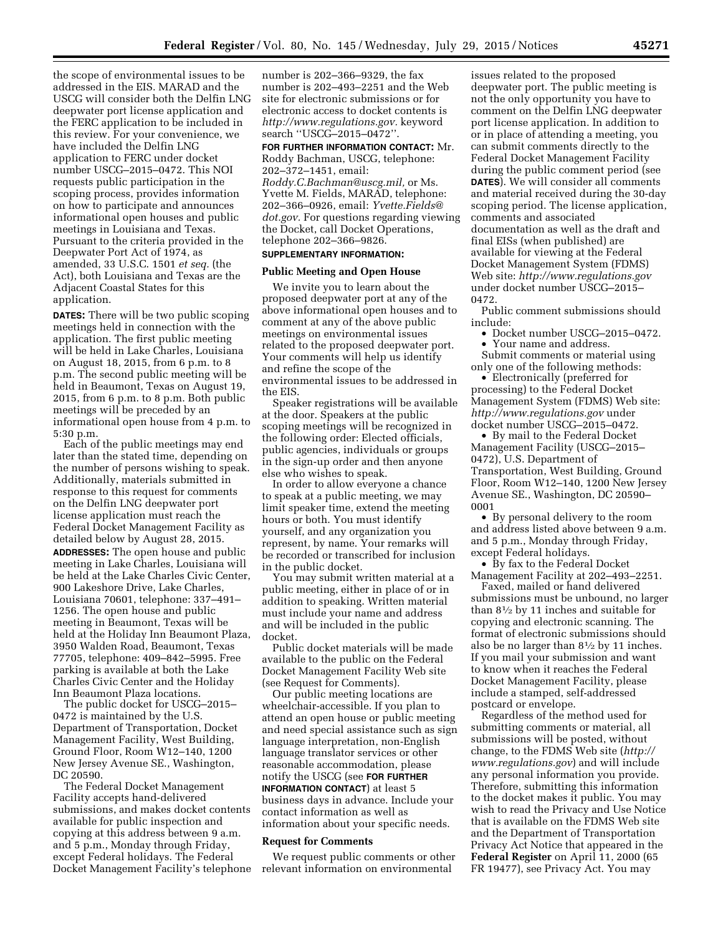the scope of environmental issues to be addressed in the EIS. MARAD and the USCG will consider both the Delfin LNG deepwater port license application and the FERC application to be included in this review. For your convenience, we have included the Delfin LNG application to FERC under docket number USCG–2015–0472. This NOI requests public participation in the scoping process, provides information on how to participate and announces informational open houses and public meetings in Louisiana and Texas. Pursuant to the criteria provided in the Deepwater Port Act of 1974, as amended, 33 U.S.C. 1501 *et seq.* (the Act), both Louisiana and Texas are the Adjacent Coastal States for this application.

**DATES:** There will be two public scoping meetings held in connection with the application. The first public meeting will be held in Lake Charles, Louisiana on August 18, 2015, from 6 p.m. to 8 p.m. The second public meeting will be held in Beaumont, Texas on August 19, 2015, from 6 p.m. to 8 p.m. Both public meetings will be preceded by an informational open house from 4 p.m. to 5:30 p.m.

Each of the public meetings may end later than the stated time, depending on the number of persons wishing to speak. Additionally, materials submitted in response to this request for comments on the Delfin LNG deepwater port license application must reach the Federal Docket Management Facility as detailed below by August 28, 2015. **ADDRESSES:** The open house and public meeting in Lake Charles, Louisiana will be held at the Lake Charles Civic Center, 900 Lakeshore Drive, Lake Charles, Louisiana 70601, telephone: 337–491– 1256. The open house and public meeting in Beaumont, Texas will be held at the Holiday Inn Beaumont Plaza, 3950 Walden Road, Beaumont, Texas 77705, telephone: 409–842–5995. Free parking is available at both the Lake Charles Civic Center and the Holiday Inn Beaumont Plaza locations.

The public docket for USCG–2015– 0472 is maintained by the U.S. Department of Transportation, Docket Management Facility, West Building, Ground Floor, Room W12–140, 1200 New Jersey Avenue SE., Washington, DC 20590.

The Federal Docket Management Facility accepts hand-delivered submissions, and makes docket contents available for public inspection and copying at this address between 9 a.m. and 5 p.m., Monday through Friday, except Federal holidays. The Federal Docket Management Facility's telephone

number is 202–366–9329, the fax number is 202–493–2251 and the Web site for electronic submissions or for electronic access to docket contents is *[http://www.regulations.gov.](http://www.regulations.gov)* keyword search ''USCG–2015–0472''.

**FOR FURTHER INFORMATION CONTACT:** Mr. Roddy Bachman, USCG, telephone: 202–372–1451, email:

*[Roddy.C.Bachman@uscg.mil,](mailto:Roddy.C.Bachman@uscg.mil)* or Ms. Yvette M. Fields, MARAD, telephone: 202–366–0926, email: *[Yvette.Fields@](mailto:Yvette.Fields@dot.gov) [dot.gov.](mailto:Yvette.Fields@dot.gov)* For questions regarding viewing the Docket, call Docket Operations, telephone 202–366–9826. **SUPPLEMENTARY INFORMATION:** 

# **Public Meeting and Open House**

We invite you to learn about the proposed deepwater port at any of the above informational open houses and to comment at any of the above public meetings on environmental issues related to the proposed deepwater port. Your comments will help us identify and refine the scope of the environmental issues to be addressed in the EIS.

Speaker registrations will be available at the door. Speakers at the public scoping meetings will be recognized in the following order: Elected officials, public agencies, individuals or groups in the sign-up order and then anyone else who wishes to speak.

In order to allow everyone a chance to speak at a public meeting, we may limit speaker time, extend the meeting hours or both. You must identify yourself, and any organization you represent, by name. Your remarks will be recorded or transcribed for inclusion in the public docket.

You may submit written material at a public meeting, either in place of or in addition to speaking. Written material must include your name and address and will be included in the public docket.

Public docket materials will be made available to the public on the Federal Docket Management Facility Web site (see Request for Comments).

Our public meeting locations are wheelchair-accessible. If you plan to attend an open house or public meeting and need special assistance such as sign language interpretation, non-English language translator services or other reasonable accommodation, please notify the USCG (see **FOR FURTHER INFORMATION CONTACT**) at least 5 business days in advance. Include your contact information as well as information about your specific needs.

#### **Request for Comments**

We request public comments or other relevant information on environmental

issues related to the proposed deepwater port. The public meeting is not the only opportunity you have to comment on the Delfin LNG deepwater port license application. In addition to or in place of attending a meeting, you can submit comments directly to the Federal Docket Management Facility during the public comment period (see **DATES**). We will consider all comments and material received during the 30-day scoping period. The license application, comments and associated documentation as well as the draft and final EISs (when published) are available for viewing at the Federal Docket Management System (FDMS) Web site: *<http://www.regulations.gov>* under docket number USCG–2015– 0472.

Public comment submissions should include:

- Docket number USCG-2015-0472.
- Your name and address.
- Submit comments or material using only one of the following methods:

• Electronically (preferred for processing) to the Federal Docket Management System (FDMS) Web site: *<http://www.regulations.gov>* under docket number USCG–2015–0472.

• By mail to the Federal Docket Management Facility (USCG–2015– 0472), U.S. Department of Transportation, West Building, Ground Floor, Room W12–140, 1200 New Jersey Avenue SE., Washington, DC 20590– 0001

• By personal delivery to the room and address listed above between 9 a.m. and 5 p.m., Monday through Friday, except Federal holidays.

• By fax to the Federal Docket Management Facility at 202–493–2251.

Faxed, mailed or hand delivered submissions must be unbound, no larger than 81⁄2 by 11 inches and suitable for copying and electronic scanning. The format of electronic submissions should also be no larger than 81⁄2 by 11 inches. If you mail your submission and want to know when it reaches the Federal Docket Management Facility, please include a stamped, self-addressed postcard or envelope.

Regardless of the method used for submitting comments or material, all submissions will be posted, without change, to the FDMS Web site (*[http://](http://www.regulations.gov) [www.regulations.gov](http://www.regulations.gov)*) and will include any personal information you provide. Therefore, submitting this information to the docket makes it public. You may wish to read the Privacy and Use Notice that is available on the FDMS Web site and the Department of Transportation Privacy Act Notice that appeared in the **Federal Register** on April 11, 2000 (65 FR 19477), see Privacy Act. You may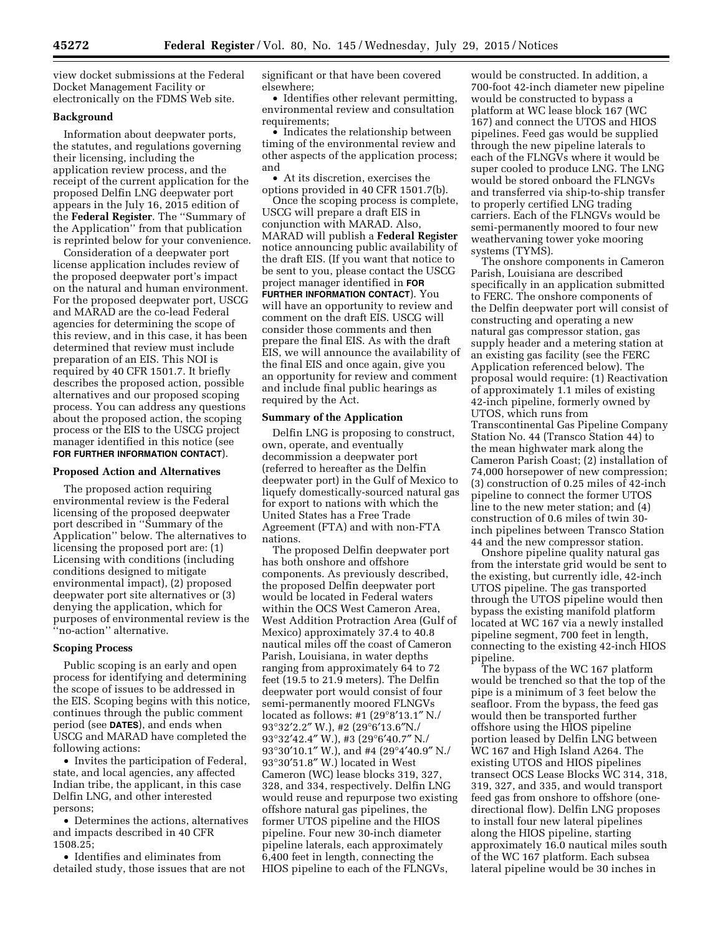view docket submissions at the Federal Docket Management Facility or electronically on the FDMS Web site.

#### **Background**

Information about deepwater ports, the statutes, and regulations governing their licensing, including the application review process, and the receipt of the current application for the proposed Delfin LNG deepwater port appears in the July 16, 2015 edition of the **Federal Register**. The ''Summary of the Application'' from that publication is reprinted below for your convenience.

Consideration of a deepwater port license application includes review of the proposed deepwater port's impact on the natural and human environment. For the proposed deepwater port, USCG and MARAD are the co-lead Federal agencies for determining the scope of this review, and in this case, it has been determined that review must include preparation of an EIS. This NOI is required by 40 CFR 1501.7. It briefly describes the proposed action, possible alternatives and our proposed scoping process. You can address any questions about the proposed action, the scoping process or the EIS to the USCG project manager identified in this notice (see **FOR FURTHER INFORMATION CONTACT**).

#### **Proposed Action and Alternatives**

The proposed action requiring environmental review is the Federal licensing of the proposed deepwater port described in ''Summary of the Application'' below. The alternatives to licensing the proposed port are: (1) Licensing with conditions (including conditions designed to mitigate environmental impact), (2) proposed deepwater port site alternatives or (3) denying the application, which for purposes of environmental review is the ''no-action'' alternative.

#### **Scoping Process**

Public scoping is an early and open process for identifying and determining the scope of issues to be addressed in the EIS. Scoping begins with this notice, continues through the public comment period (see **DATES**), and ends when USCG and MARAD have completed the following actions:

• Invites the participation of Federal, state, and local agencies, any affected Indian tribe, the applicant, in this case Delfin LNG, and other interested persons;

• Determines the actions, alternatives and impacts described in 40 CFR 1508.25;

• Identifies and eliminates from detailed study, those issues that are not significant or that have been covered elsewhere;

• Identifies other relevant permitting, environmental review and consultation requirements;

• Indicates the relationship between timing of the environmental review and other aspects of the application process; and

• At its discretion, exercises the options provided in 40 CFR 1501.7(b).

Once the scoping process is complete, USCG will prepare a draft EIS in conjunction with MARAD. Also, MARAD will publish a **Federal Register**  notice announcing public availability of the draft EIS. (If you want that notice to be sent to you, please contact the USCG project manager identified in **FOR FURTHER INFORMATION CONTACT**). You will have an opportunity to review and comment on the draft EIS. USCG will consider those comments and then prepare the final EIS. As with the draft EIS, we will announce the availability of the final EIS and once again, give you an opportunity for review and comment and include final public hearings as required by the Act.

#### **Summary of the Application**

Delfin LNG is proposing to construct, own, operate, and eventually decommission a deepwater port (referred to hereafter as the Delfin deepwater port) in the Gulf of Mexico to liquefy domestically-sourced natural gas for export to nations with which the United States has a Free Trade Agreement (FTA) and with non-FTA nations.

The proposed Delfin deepwater port has both onshore and offshore components. As previously described, the proposed Delfin deepwater port would be located in Federal waters within the OCS West Cameron Area, West Addition Protraction Area (Gulf of Mexico) approximately 37.4 to 40.8 nautical miles off the coast of Cameron Parish, Louisiana, in water depths ranging from approximately 64 to 72 feet (19.5 to 21.9 meters). The Delfin deepwater port would consist of four semi-permanently moored FLNGVs located as follows: #1 (29°8′13.1″ N./ 93°32′2.2″ W.), #2 (29°6′13.6″N./ 93°32′42.4″ W.), #3 (29°6′40.7″ N./ 93°30′10.1″ W.), and #4 (29°4′40.9″ N./ 93°30′51.8″ W.) located in West Cameron (WC) lease blocks 319, 327, 328, and 334, respectively. Delfin LNG would reuse and repurpose two existing offshore natural gas pipelines, the former UTOS pipeline and the HIOS pipeline. Four new 30-inch diameter pipeline laterals, each approximately 6,400 feet in length, connecting the HIOS pipeline to each of the FLNGVs,

would be constructed. In addition, a 700-foot 42-inch diameter new pipeline would be constructed to bypass a platform at WC lease block 167 (WC 167) and connect the UTOS and HIOS pipelines. Feed gas would be supplied through the new pipeline laterals to each of the FLNGVs where it would be super cooled to produce LNG. The LNG would be stored onboard the FLNGVs and transferred via ship-to-ship transfer to properly certified LNG trading carriers. Each of the FLNGVs would be semi-permanently moored to four new weathervaning tower yoke mooring systems (TYMS).

The onshore components in Cameron Parish, Louisiana are described specifically in an application submitted to FERC. The onshore components of the Delfin deepwater port will consist of constructing and operating a new natural gas compressor station, gas supply header and a metering station at an existing gas facility (see the FERC Application referenced below). The proposal would require: (1) Reactivation of approximately 1.1 miles of existing 42-inch pipeline, formerly owned by UTOS, which runs from Transcontinental Gas Pipeline Company Station No. 44 (Transco Station 44) to the mean highwater mark along the Cameron Parish Coast; (2) installation of 74,000 horsepower of new compression; (3) construction of 0.25 miles of 42-inch pipeline to connect the former UTOS line to the new meter station; and (4) construction of 0.6 miles of twin 30 inch pipelines between Transco Station 44 and the new compressor station.

Onshore pipeline quality natural gas from the interstate grid would be sent to the existing, but currently idle, 42-inch UTOS pipeline. The gas transported through the UTOS pipeline would then bypass the existing manifold platform located at WC 167 via a newly installed pipeline segment, 700 feet in length, connecting to the existing 42-inch HIOS pipeline.

The bypass of the WC 167 platform would be trenched so that the top of the pipe is a minimum of 3 feet below the seafloor. From the bypass, the feed gas would then be transported further offshore using the HIOS pipeline portion leased by Delfin LNG between WC 167 and High Island A264. The existing UTOS and HIOS pipelines transect OCS Lease Blocks WC 314, 318, 319, 327, and 335, and would transport feed gas from onshore to offshore (onedirectional flow). Delfin LNG proposes to install four new lateral pipelines along the HIOS pipeline, starting approximately 16.0 nautical miles south of the WC 167 platform. Each subsea lateral pipeline would be 30 inches in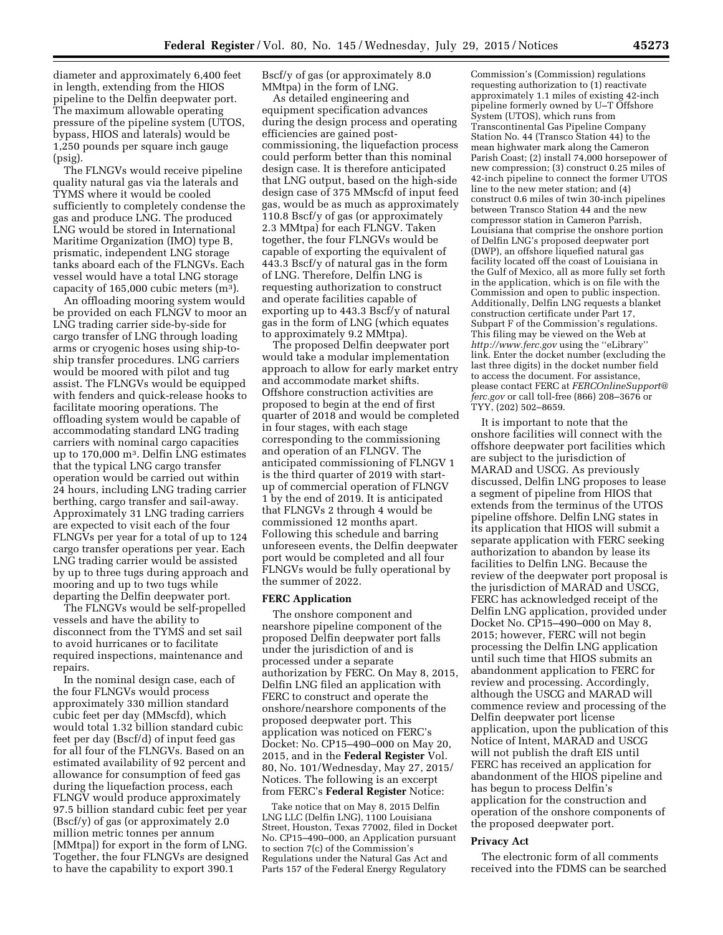diameter and approximately 6,400 feet in length, extending from the HIOS pipeline to the Delfin deepwater port. The maximum allowable operating pressure of the pipeline system (UTOS, bypass, HIOS and laterals) would be 1,250 pounds per square inch gauge (psig).

The FLNGVs would receive pipeline quality natural gas via the laterals and TYMS where it would be cooled sufficiently to completely condense the gas and produce LNG. The produced LNG would be stored in International Maritime Organization (IMO) type B, prismatic, independent LNG storage tanks aboard each of the FLNGVs. Each vessel would have a total LNG storage capacity of  $165,000$  cubic meters  $(m<sup>3</sup>)$ .

An offloading mooring system would be provided on each FLNGV to moor an LNG trading carrier side-by-side for cargo transfer of LNG through loading arms or cryogenic hoses using ship-toship transfer procedures. LNG carriers would be moored with pilot and tug assist. The FLNGVs would be equipped with fenders and quick-release hooks to facilitate mooring operations. The offloading system would be capable of accommodating standard LNG trading carriers with nominal cargo capacities up to 170,000 m3. Delfin LNG estimates that the typical LNG cargo transfer operation would be carried out within 24 hours, including LNG trading carrier berthing, cargo transfer and sail-away. Approximately 31 LNG trading carriers are expected to visit each of the four FLNGVs per year for a total of up to 124 cargo transfer operations per year. Each LNG trading carrier would be assisted by up to three tugs during approach and mooring and up to two tugs while departing the Delfin deepwater port.

The FLNGVs would be self-propelled vessels and have the ability to disconnect from the TYMS and set sail to avoid hurricanes or to facilitate required inspections, maintenance and repairs.

In the nominal design case, each of the four FLNGVs would process approximately 330 million standard cubic feet per day (MMscfd), which would total 1.32 billion standard cubic feet per day (Bscf/d) of input feed gas for all four of the FLNGVs. Based on an estimated availability of 92 percent and allowance for consumption of feed gas during the liquefaction process, each FLNGV would produce approximately 97.5 billion standard cubic feet per year (Bscf/y) of gas (or approximately 2.0 million metric tonnes per annum [MMtpa]) for export in the form of LNG. Together, the four FLNGVs are designed to have the capability to export 390.1

Bscf/y of gas (or approximately 8.0 MMtpa) in the form of LNG.

As detailed engineering and equipment specification advances during the design process and operating efficiencies are gained postcommissioning, the liquefaction process could perform better than this nominal design case. It is therefore anticipated that LNG output, based on the high-side design case of 375 MMscfd of input feed gas, would be as much as approximately 110.8 Bscf/y of gas (or approximately 2.3 MMtpa) for each FLNGV. Taken together, the four FLNGVs would be capable of exporting the equivalent of 443.3 Bscf/y of natural gas in the form of LNG. Therefore, Delfin LNG is requesting authorization to construct and operate facilities capable of exporting up to 443.3 Bscf/y of natural gas in the form of LNG (which equates to approximately 9.2 MMtpa).

The proposed Delfin deepwater port would take a modular implementation approach to allow for early market entry and accommodate market shifts. Offshore construction activities are proposed to begin at the end of first quarter of 2018 and would be completed in four stages, with each stage corresponding to the commissioning and operation of an FLNGV. The anticipated commissioning of FLNGV 1 is the third quarter of 2019 with startup of commercial operation of FLNGV 1 by the end of 2019. It is anticipated that FLNGVs 2 through 4 would be commissioned 12 months apart. Following this schedule and barring unforeseen events, the Delfin deepwater port would be completed and all four FLNGVs would be fully operational by the summer of 2022.

#### **FERC Application**

The onshore component and nearshore pipeline component of the proposed Delfin deepwater port falls under the jurisdiction of and is processed under a separate authorization by FERC. On May 8, 2015, Delfin LNG filed an application with FERC to construct and operate the onshore/nearshore components of the proposed deepwater port. This application was noticed on FERC's Docket: No. CP15–490–000 on May 20, 2015, and in the **Federal Register** Vol. 80, No. 101/Wednesday, May 27, 2015/ Notices. The following is an excerpt from FERC's **Federal Register** Notice:

Take notice that on May 8, 2015 Delfin LNG LLC (Delfin LNG), 1100 Louisiana Street, Houston, Texas 77002, filed in Docket No. CP15–490–000, an Application pursuant to section 7(c) of the Commission's Regulations under the Natural Gas Act and Parts 157 of the Federal Energy Regulatory

Commission's (Commission) regulations requesting authorization to (1) reactivate approximately 1.1 miles of existing 42-inch pipeline formerly owned by U–T Offshore System (UTOS), which runs from Transcontinental Gas Pipeline Company Station No. 44 (Transco Station 44) to the mean highwater mark along the Cameron Parish Coast; (2) install 74,000 horsepower of new compression; (3) construct 0.25 miles of 42-inch pipeline to connect the former UTOS line to the new meter station; and (4) construct 0.6 miles of twin 30-inch pipelines between Transco Station 44 and the new compressor station in Cameron Parrish, Louisiana that comprise the onshore portion of Delfin LNG's proposed deepwater port (DWP), an offshore liquefied natural gas facility located off the coast of Louisiana in the Gulf of Mexico, all as more fully set forth in the application, which is on file with the Commission and open to public inspection. Additionally, Delfin LNG requests a blanket construction certificate under Part 17, Subpart F of the Commission's regulations. This filing may be viewed on the Web at *<http://www.ferc.gov>*using the ''eLibrary'' link. Enter the docket number (excluding the last three digits) in the docket number field to access the document. For assistance, please contact FERC at *[FERCOnlineSupport@](mailto:FERCOnlineSupport@ferc.gov) [ferc.gov](mailto:FERCOnlineSupport@ferc.gov)* or call toll-free (866) 208–3676 or TYY, (202) 502–8659.

It is important to note that the onshore facilities will connect with the offshore deepwater port facilities which are subject to the jurisdiction of MARAD and USCG. As previously discussed, Delfin LNG proposes to lease a segment of pipeline from HIOS that extends from the terminus of the UTOS pipeline offshore. Delfin LNG states in its application that HIOS will submit a separate application with FERC seeking authorization to abandon by lease its facilities to Delfin LNG. Because the review of the deepwater port proposal is the jurisdiction of MARAD and USCG, FERC has acknowledged receipt of the Delfin LNG application, provided under Docket No. CP15–490–000 on May 8, 2015; however, FERC will not begin processing the Delfin LNG application until such time that HIOS submits an abandonment application to FERC for review and processing. Accordingly, although the USCG and MARAD will commence review and processing of the Delfin deepwater port license application, upon the publication of this Notice of Intent, MARAD and USCG will not publish the draft EIS until FERC has received an application for abandonment of the HIOS pipeline and has begun to process Delfin's application for the construction and operation of the onshore components of the proposed deepwater port.

#### **Privacy Act**

The electronic form of all comments received into the FDMS can be searched